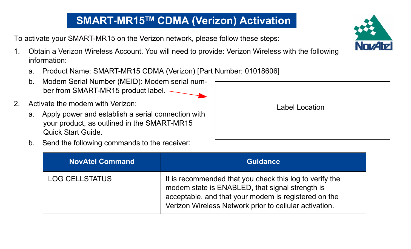## **SMART-MR15TM CDMA (Verizon) Activation**

To activate your SMART-MR15 on the Verizon network, please follow these steps:

- 1. Obtain a Verizon Wireless Account. You will need to provide: Verizon Wireless with the following information:
	- a. Product Name: SMART-MR15 CDMA (Verizon) [Part Number: 01018606]
	- b. Modem Serial Number (MEID): Modem serial number from SMART-MR15 product label.
- 2. Activate the modem with Verizon:
	- a. Apply power and establish a serial connection with your product, as outlined in the SMART-MR15 Quick Start Guide.
	- b. Send the following commands to the receiver:

| <b>NovAtel Command</b> | <b>Guidance</b>                                                                                                                                                                                                              |
|------------------------|------------------------------------------------------------------------------------------------------------------------------------------------------------------------------------------------------------------------------|
| LOG CELLSTATUS         | It is recommended that you check this log to verify the<br>modem state is ENABLED, that signal strength is<br>acceptable, and that your modem is registered on the<br>Verizon Wireless Network prior to cellular activation. |



| Label Location |  |
|----------------|--|